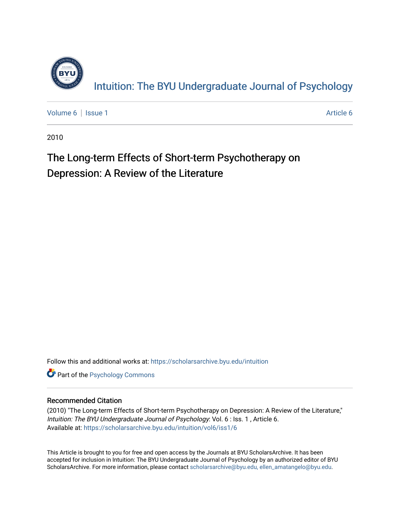

[Volume 6](https://scholarsarchive.byu.edu/intuition/vol6) | [Issue 1](https://scholarsarchive.byu.edu/intuition/vol6/iss1) [Article 6](https://scholarsarchive.byu.edu/intuition/vol6/iss1/6) | Article 6 | Article 6 | Article 6 | Article 6 | Article 6 | Article 6 | Article 6 | Article 6 | Article 6 | Article 6 | Article 6 | Article 6 | Article 6 | Article 6 | Article 6 | Article 6 |

2010

## The Long-term Effects of Short-term Psychotherapy on Depression: A Review of the Literature

Follow this and additional works at: [https://scholarsarchive.byu.edu/intuition](https://scholarsarchive.byu.edu/intuition?utm_source=scholarsarchive.byu.edu%2Fintuition%2Fvol6%2Fiss1%2F6&utm_medium=PDF&utm_campaign=PDFCoverPages) 

**Part of the Psychology Commons** 

### Recommended Citation

(2010) "The Long-term Effects of Short-term Psychotherapy on Depression: A Review of the Literature," Intuition: The BYU Undergraduate Journal of Psychology: Vol. 6 : Iss. 1 , Article 6. Available at: [https://scholarsarchive.byu.edu/intuition/vol6/iss1/6](https://scholarsarchive.byu.edu/intuition/vol6/iss1/6?utm_source=scholarsarchive.byu.edu%2Fintuition%2Fvol6%2Fiss1%2F6&utm_medium=PDF&utm_campaign=PDFCoverPages)

This Article is brought to you for free and open access by the Journals at BYU ScholarsArchive. It has been accepted for inclusion in Intuition: The BYU Undergraduate Journal of Psychology by an authorized editor of BYU ScholarsArchive. For more information, please contact [scholarsarchive@byu.edu, ellen\\_amatangelo@byu.edu.](mailto:scholarsarchive@byu.edu,%20ellen_amatangelo@byu.edu)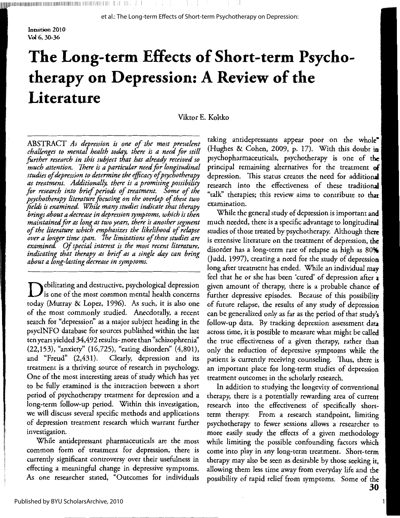Intuition 2010 **Vol** 6,30-36

# **The Long-term Effects of Short-term Psychotherapy on Depression: A Review of the Literature**

Viktor E. Koltko

ABSTRACT *As depression is one of the most prevalent challenges to mental health today, there is a need for still farther research in this subject that has already received so much attention. There is a particular need for longitudinal studies of depression to determine the efficacy of psychotherapy as treatment. Additionally, there is a promising possibility for research into brief periods of treatment. Some of the psychotherapy literature focusing on the overlap of these two fields is examined. While many studies indicate that therapy brings about a decrease in depression symptoms, which is then maintained for as long as two years, there is another segment of the literature which emphasizes the likelihood of relapse over a longer time span. The limitatiom of these studies are examined. Of special interest is the most recent literature, indicating that therapy as brief as a single day can bring about a long-lasting decrease in symptoms.* 

 $\blacktriangleright$  ebilitating and destructive, psychological depression is one of the most common mental health concerns today (Murray & Lopez, 1996). As such, it is also one of the most commonly studied. Anecdotally, a recent search for "depression'' as a major subject heading in the psycINFO database for sources published within the last ten years yielded 34,492 results- more than "schizophrenia'' (22,153), "anxiety'' (16,725), "eating disorders" (4,801), and "Freud" (2,431). Clearly, depression and its treatment is a thriving source of research in psychology. One of the most interesting areas of study which has yet to be fully examined is the interaction between a short period of psychotherapy treatment for depression and a long-term follow-up period. Within this investigation, we will discuss several specific methods and applications of depression treatment research which warrant further investigation.

While antidepressant pharmaceuticals are the most common form of treatment for depression, there is currently significant controversy over their usefulness in effecting a meaningful change in depressive symptoms. As one researcher stated, "Outcomes for individuals

taking antidepressants appear poor on the whole\* (Hughes & Cohen, 2009, p. 17). With this doubt in psychopharmaceuticals, psychotherapy is one of the principal remaining alternatives for the treatment of depression. This status creates the need for additional research into the effectiveness of these traditional "talk'' therapies; this review aims to contribute to **that**  examination.

While the general study of depression is important **and**  much needed, there is a specific advantage to longitudinal studies of those treated by psychotherapy. Although there is extensive literature on the treatment of depression, **the**  disorder has a long-term rate of relapse as high as **809'.**  (Judd, 1997), creating a need for the study of depression long after treatment has ended. While an individual may feel that he or she has been 'cured' of depression after **<sup>a</sup>** <sup>g</sup>iven amount of therapy, there is a probable chance **of**  further depressive episodes. Because of this possibility of future relapse, the results of any study of depression can be generalized only as far as the period of that study's follow-up data. By tracking depression assessment data across time, it is possible to measure what might be called the true effectiveness of a given therapy, rather than only the reduction of depressive symptoms while the patient is currently receiving counseling. Thus, there is an important place for long-term studies of depression treatment outcomes in the scholarly research.

In addition to studying the longevity of conventional therapy, there is a potentially rewarding area of current research into the effectiveness of specifically shortterm therapy. From a research standpoint, limiting psychotherapy to fewer sessions allows a researcher to more easily study the effects of a given methodology while limiting the possible confounding factors which come into play in any long-term treatment. Short-term therapy may also be seen as desirable by those seeking it, allowing them less time away from everyday life and the possibility of rapid relief from symptoms. Some of the **30**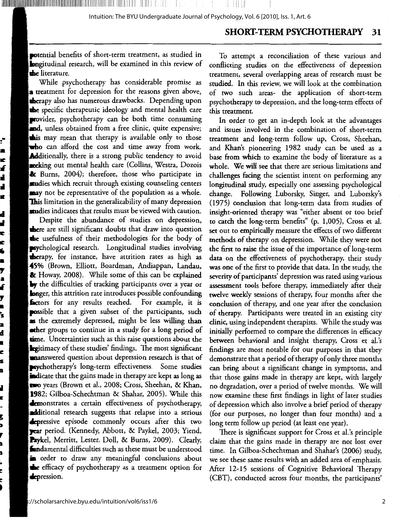#### **SHORT-TERM PSYCHOTHERAPY** 31

potential benefits of short-term treatment, as studied in **lon**gitudinal research, will be examined in this review of **th**e literature.

While psychotherapy has considerable promise as **a** treatment for depression for the reasons given above, **therapy also has numerous drawbacks.** Depending upon the specific therapeutic ideology and mental health care **provider**, psychotherapy can be both time consuming and, unless obtained from a free clinic, quite expensive; this may mean that therapy is available only to those tho can afford the cost and time away from work. **Additionally, there is a strong public tendency to avoid** seeking out mental health care (Collins, Westra, Dozois & Burns, 2004); therefore, those who participate in studies which recruit through existing counseling centers may not be representative of the population as a whole. **This** limitation in the generalizability of many depression studies indicates that results must be viewed with caution.

÷

а

ĸ

xf

d

H,

к

d

d.

Æ

ĸ

16

в

Г

a

Æ

7

 $\blacksquare$ 

ś

2

d

ą

c

i\$

n

d,

ĸ

ŀ

g

D

7

b

D

t,

c

C D

Despite the abundance of studies on depression, **there** are still significant doubts that draw into question the usefulness of their methodologies for the body of **esychological research.** Longitudinal studies involving **the**rapy, for instance, have attrition rates as high as 45% (Brown, Elliott, Boardman, Andiappan, Landau, & Howay, 2008). While some of this can be explained  $\mathbf{b}$ y the difficulties of tracking participants over a year or **lon**ger, this attrition rate introduces possible confounding **factors** for any results reached. For example, it is **pos**sible that a given subset of the participants, such **s** the extremely depressed, might be less willing than **eth**er groups to continue in a study for a long period of **tim**e. Uncertainties such as this raise questions about the **Ex**itimacy of these studies' findings. The most significant manswered question about depression research is that of sychotherapy's long-term effectiveness. Some studies indicate that the gains made in therapy are kept as long as wo years (Brown et al., 2008; Cross, Sheehan, & Khan, 1982; Gilboa-Schechtman & Shahar, 2005). While this **demonstrates** a certain effectiveness of psychotherapy, additional research suggests that relapse into a serious **Exercise** episode commonly occurs after this two **year** period. (Kennedy, Abbott, & Paykel, 2003; Yiend, Paykel, Merritt, Lester, Doll, & Burns, 2009). Clearly, **fun**damental difficulties such as these must be understood **n** order to draw any meaningful conclusions about the efficacy of psychotherapy as a treatment option for depression.

To attempt a reconciliation of these various and conflicting studies on the effectiveness of depression treatment, several overlapping areas of research must be studied. In this review, we will look at the combination of two such areas- the application of short-term psychotherapy to depression, and the long-term effects of this treatment.

In order to get an in-depth look at the advantages and issues involved in the combination of short-term treatment and long-term follow up, Cross, Sheehan, and Khan's pioneering 1982 study can be used as a base from which to examine the body of literature as a whole. We will see that there are serious limitations and challenges facing the scientist intent on performing any lo**ngitudinal stu**dy, especially one assessing psychological change. Following Luborsky, Singer, and Luborsky's (1975) conclusion that long-term data from studies of insight-oriented therapy was "either absent or too brief to catch the long-term benefits" (p. 1,005), Cross et al. set out to empirically measure the effects of two different methods of therapy on depression. While they were not the first to raise the issue of the importance of long-term data on the effectiveness of psychotherapy, their study was one of the first to provide that data. In the study, the severity of participants' depression was rated using various assessment tools before therapy, immediately after their twelve weekly sessions of therapy, four months after the conclusion of therapy, and one year after the conclusion of therapy. Participants were treated in an existing city clinic, using independent therapists. While the study was initially performed to compare the differences in efficacy between behavioral and insight therapy, Cross et al.'s findings are most notable for our purposes in that they demonstrate that a period of therapy of only three months can bring about a significant change in symptoms, and that those gains made in therapy are kept, with largely no degradation, over a period of twelve months. We will now examine these first findings in light of later studies of depression which also involve a brief period of therapy (for our purposes, no longer than four months) and a long term follow up period (at least one year).

There is significant support for Cross et al.'s principle claim that the gains made in therapy are not lost over time. In Gilboa-Schechtman and Shahar's (2006) study, we see these same results with an added area of emphasis. After 12-15 sessions of Cognitive Behavioral Therapy (CBT), conducted across four months, the participants'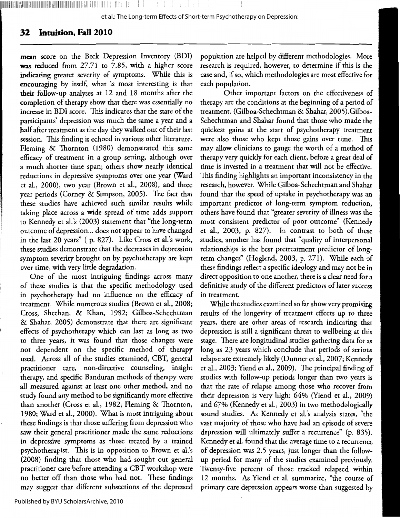## **32 Intuition, Fall 2010**

<sup>1111</sup> llllllllllllllllllililllllllllllllllllllllllllllllllllllllllllllllliilllllllllllllll;11111111111111111111111111111111111:111:111111111:. II I I;. 1 1

mean score on the Beck Depression Inventory (BDI) was reduced from 27.71 to 7.85, with a higher score indicating greater severity of symptoms. While this is encouraging by itself, what is most interesting is that their follow-up analyses at 12 and 18 months after the completion of therapy show that there was essentially no increase in BDI score. This indicates that the state of the participants' depression was much the same a year and a **half** after treatment as the day they walked out of their last session. This finding is echoed in various other literature. Fleming & Thornton (1980) demonstrated this same efficacy of treatment in a group setting, although over a much shorter time span; others show nearly identical reductions in depressive symptoms over one year (Ward et al., 2000), two year (Brown et al., 2008), and three year periods (Corney & Simpson, 2005). The fact that these studies have achieved such similar results while taking place across a wide spread of time adds support to Kennedy et al.'s (2003) statement that "the long-term outcome of depression ... does not appear to have changed in the last 20 years" ( p. 827). Like Cross et al.'s work, these studies demonstrate that the decreases in depression symptom severity brought on by psychotherapy are kept over time, with very little degradation.

One of the most intriguing findings across many of these studies is that the specific methodology used in psychotherapy had no influence on the efficacy of treatment. While numerous studies (Brown et al., 2008; Cross, Sheehan, & Khan, 1982; Gilboa-Schechtman & Shahar, 2005) demonstrate that there are significant effects of psychotherapy which can last as long as two to three years, it was found that those changes were not dependent on the specific method of therapy used. Across all of the studies examined, CBT, general practitioner care, non-directive counseling, insight therapy, and specific Banduran methods of therapy were all measured against at least one other method, and no study found any method to be significantly more effective than another (Cross et al., 1982; Fleming & Thornton, 1980; Ward et al., 2000). What is most intriguing about these findings is that those suffering from depression who saw their general practitioner made the same reductions in depressive symptoms as those treated by a trained psychotherapist. This is in opposition to Brown et al.'s (2008) finding that those who had sought out general practitioner care before attending a CBT workshop were no better off than those who had not. These findings may suggest that different subsections of the depressed

Other important factors on the effectiveness of therapy are the conditions at the beginning of a period of treatment. (Gilboa-Schechtman & Shahar, 2005).Gilboa-Schechtman and Shahar found that those who made the quickest gains at the start of psychotherapy treatment were also those who kept those gains over time. This may allow clinicians to gauge the worth of a method of therapy very quickly for each client, before a great deal of time is invested in a treatment that will not be effective. This finding highlights an important inconsistency in the research, however. While Gilboa-Schechtman and Shahar found that the speed of uptake in psychotherapy was an important predictor of long-term symptom reduction, others have found that "greater severity of illness was the most consistent predictor of poor outcome" (Kennedy et al., 2003, p. 827). In contrast to both of these studies, another has found that "quality of interpersonal relationships is the best pretreatment predictor of longterm changes" (Hoglend, 2003, p. 271). While each of these findings reflect a specific ideology and may not be in direct opposition to one another, there is a clear need for a definitive study of the different predictors of later success in treatment.

While the studies examined so far show very promising results of the longevity of treatment effects up to three years, there are other areas of research indicating that depression is still a significant threat to wellbeing at this stage. There are longitudinal studies gathering data for as long as 23 years which conclude that periods of serious relapse are extremely likely (Dunner et al., 2007; Kennedy et al., 2003; Yiend et al., 2009). The principal finding of studies with follow-up periods longer than two years is that the rate of relapse among those who recover from their depression is very high: 64% (Yiend et al., 2009) and 67% (Kennedy et al., 2003) in two methodologically sound studies. As Kennedy et al.'s analysis states, "the vast majority of those who have had an episode of severe depression will ultimately suffer a recurrence" (p. 835). Kennedy et al. found that the average time to a recurrence of depression was 2.5 years, just longer than the followup period for many of the studies examined previously. Twenty-five percent of those tracked relapsed within 12 months. As Yiend et al. summarize, "the course of primary care depression appears worse than suggested by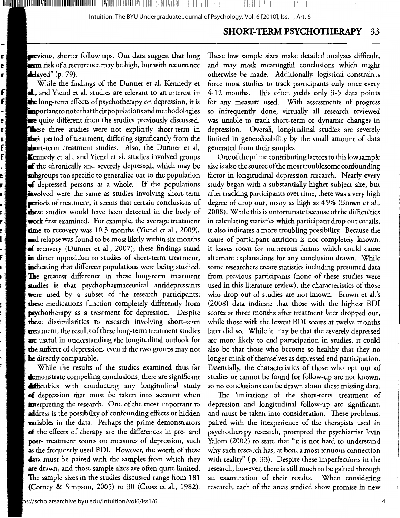#### **SHORT-TERM PSYCHOTHERAPY** 33

previous, shorter follow ups. Our data suggest that long erm risk of a recurrence may be high, but with recurrence delayed"  $(p. 79)$ .

Ej

в)

r)

f

f

 $\mathbf{f}$ 

E. r.

Ė.

While the findings of the Dunner et al, Kennedy et . and Yiend et al. studies are relevant to an interest in the long-term effects of psychotherapy on depression, it is important to note that their populations and methodologies are quite different from the studies previously discussed. These three studies were not explicitly short-term in their period of treatment, differing significantly from the chort-term treatment studies. Also, the Dunner et al, **Kennedy et al., and Yiend et al. studies involved groups** of the chronically and severely depressed, which may be subgroups too specific to generalize out to the population of depressed persons as a whole. If the populations involved were the same as studies involving short-term periods of treatment, it seems that certain conclusions of these studies would have been detected in the body of work first examined. For example, the average treatment time to recovery was 10.3 months (Yiend et al., 2009), and relapse was found to be most likely within six months of recovery (Dunner et al., 2007); these findings stand in direct opposition to studies of short-term treatment, indicating that different populations were being studied. The greatest difference in these long-term treatment studies is that psychopharmaceutical antidepressants were used by a subset of the research participants; these medications function completely differently from **psychotherapy** as a treatment for depression. Despite these dissimilarities to research involving short-term treatment, the results of these long-term treatment studies are useful in understanding the longitudinal outlook for the sufferer of depression, even if the two groups may not be directly comparable.

While the results of the studies examined thus far demonstrate compelling conclusions, there are significant difficulties with conducting any longitudinal study of depression that must be taken into account when interpreting the research. One of the most important to address is the possibility of confounding effects or hidden **variables** in the data. Perhaps the prime demonstrators of the effects of therapy are the differences in pre- and post- treatment scores on measures of depression, such as the frequently used BDI. However, the worth of these **data** must be paired with the samples from which they are drawn, and those sample sizes are often quite limited. The sample sizes in the studies discussed range from 181 (Corney & Simpson, 2005) to 30 (Cross et al., 1982).

These low sample sizes make detailed analyses difficult, and may mask meaningful conclusions which might otherwise be made. Additionally, logistical constraints force most studies to track participants only once every 4-12 months. This often yields only 3-5 data points for any measure used. With assessments of progress so infrequently done, virtually all research reviewed was unable to track short-term or dynamic changes in depression. Overall, longitudinal studies are severely limited in generalizability by the small amount of data generated from their samples.

One of the prime contributing factors to this low sample size is also the source of the most troublesome confounding factor in longitudinal depression research. Nearly every study began with a substantially higher subject size, but after tracking participants over time, there was a very high degree of drop out, many as high as 45% (Brown et al., 2008). While this is unfortunate because of the difficulties in calculating statistics which participant drop out entails, it also indicates a more troubling possibility. Because the cause of participant attrition is not completely known, it leaves room for numerous factors which could cause alternate explanations for any conclusion drawn. While some researchers create statistics including presumed data from previous participants (none of these studies were used in this literature review), the characteristics of those who drop out of studies are not known. Brown et al.'s (2008) data indicate that those with the highest BDI scores at three months after treatment later dropped out, while those with the lowest BDI scores at twelve months later did so. While it may be that the severely depressed are more likely to end participation in studies, it could also be that those who become so healthy that they no longer think of themselves as depressed end participation. Essentially, the characteristics of those who opt out of studies or cannot be found for follow-up are not known, so no conclusions can be drawn about these missing data.

The limitations of the short-term treatment of depression and longitudinal follow-up are significant, and must be taken into consideration. These problems, paired with the inexperience of the therapists used in psychotherapy research, prompted the psychiatrist Irvin Yalom (2002) to state that "it is not hard to understand why such research has, at best, a most tenuous connection with reality" (p. 33). Despite these imperfections in the research, however, there is still much to be gained through an examination of their results. When considering research, each of the areas studied show promise in new

 $\overline{4}$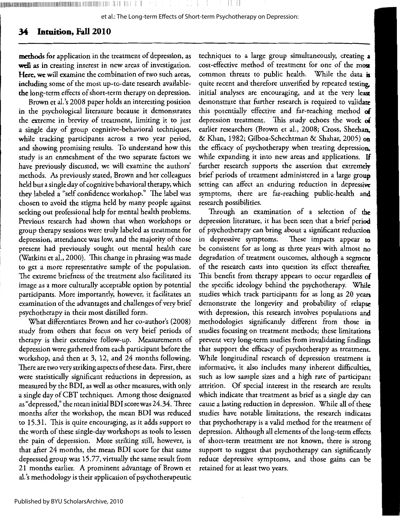"'1llllllllll11lllllllllllllllllllll<sup>1</sup> 1lllllllllllllllllllllllll'1lllllllllllllll1lll!lllllllllllil!lilllilllllllllllll!lll!l1,llllll:lllllll!'1<sup>1</sup> 1llllll!l'IIII 11'1 '11', 111,1 1·. I! I I ',II I ! I

et al.: The Long-term Effects of Short-term Psychotherapy on Depression:

## **3-i Intuition, Fall 2010**

**methods** for application in the treatment of depression, as well as in creating interest in new areas of investigation. **Here, we** will examine the combination of two such areas, including some of the most up-to-dare research availablethe long-term effects of short-term therapy on depression.

Brown er al.'s 2008 paper holds an interesting position in the psychological literature because it demonstrates the extreme in brevity of treatment, limiting it to just a single day of group cognitive-behavioral techniques, while tracking participants across a two year period, and showing promising results. To understand how this study is an enmeshment of the two separate factors we have previously discussed, we will examine the authors' methods. As previously stared, Brown and her colleagues held bur a single day of cognitive behavioral therapy, which they labeled a "self confidence workshop." The label was chosen to avoid the stigma held by many people against seeking out professional help for mental health problems. Previous research had shown that when workshops or group therapy sessions were truly labeled as treatment for depression, attendance was low, and the majority of those present had previously sought our mental health care (Watkins er al., 2000). This change in phrasing was made to get a more representative sample of the population. The extreme briefness of the treatment also facilitated its image as a more culturally acceptable option by potential participants. More importantly, however, it facilitates an examination of the advantages and challenges of very brief psychotherapy in their most distilled form.

What differentiates Brown and her co-author's (2008) study from others that focus on very brief periods of therapy is their extensive follow-up. Measurements of depression were gathered from each participant before the workshop, and then at 3, 12, and 24 months following. There are two very striking aspects of these data. First, there were statistically significant reductions in depression, as measured by the BDI, as well as other measures, with only a single day of CBT techniques. Among those designated as "depressed," the mean initial BDI scorewas24.34. Three months after the workshop, the mean BDI was reduced to 15.31. This is quite encouraging, as it adds support to the worth of these single-day workshops as tools to lessen the pain of depression. More striking still, however, is that after 24 months, the mean BDI score for that same depressed group was 15.77, virtually the same result from 21 months earlier. A prominent advantage of Brown er al.'s methodology is their application of psychotherapeutic

techniques to a large group simultaneously, creating **<sup>a</sup>** cost-effective method of treatment for one of the **mosr**  common threats to public health. While the data is quite recent and therefore unverified by repeated testing, initial analyses are encouraging, and at the very **least**  demonstrate that further research is required to validate this potentially effective and far-reaching method **of**  depression treatment. This study echoes the work **of**  earlier researchers (Brown er al., 2008; Cross, Sheehan. & Khan, 1982; Gilboa-Schechtman & Shahar, 2005) **on**  the efficacy of psychotherapy when treating depression, while expanding it into new areas and applications. If further research supports the assertion that extremely brief periods of treatment administered in a large group setting can affect an enduring reduction in depressive symptoms, there are far-reaching public-health and research possibilities.

Through an examination of a selection of **the**  depression literature, it has been seen that a brief period of psychotherapy can bring about a significant reduction in depressive symptoms. These impacts appear **to**  be consistent for as long as three years with almost **no**  degradation of treatment outcomes, although a segment of the research casts into question its effect thereafter. This benefit from therapy appears to occur regardless **of**  the specific ideology behind the psychotherapy. **While**  studies which track participants for as long as 20 years demonstrate the longevity and probability of relapse with depression, this research involves populations and methodologies significantly different from those in studies focusing on treatment methods; these limitations prevent very long-term studies from invalidating findings that support the efficacy of psychotherapy as treatment. While longitudinal research of depression treatment is informative, it also includes many inherent difficulties, such as low sample sizes and a high rare of participant attrition. Of special interest in the research are results which indicate that treatment as brief as a single day can cause a lasting reduction in depression. While all of these studies have notable limitations, the research indicates that psychotherapy is a valid method for the treatment of depression. Although all elements of the long-term effects of short-term treatment are not known, there is strong support to suggest that psychotherapy can significantly reduce depressive symptoms, and those gains can be retained for at least two years.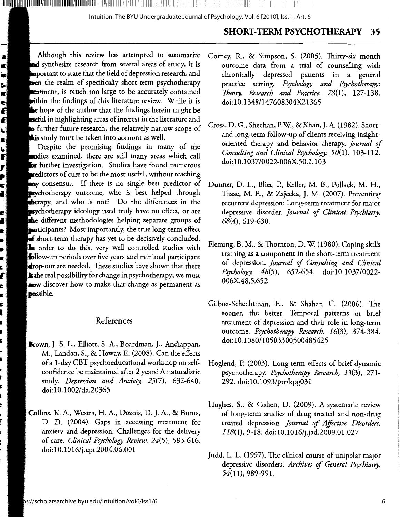II II III III

1 I, i I

## **SHORT-TERM PSYCHOTHERAPY 35**

Although this review has attempted to summarize and synthesize research from several areas of study, it is  $\blacksquare$ portant to state that the field of depression research, and tren the realm of specifically short-term psychotherapy **exament, is much too large to be accurately contained** ithin the findings of this literature review. While it is hope of the author that the findings herein might be seful in highlighting areas of interest in the literature and **• further future research, the relatively narrow scope of** is study must be taken into account as well.

lla lla llatitudi in la lillilla de sue sul la stia i sul la f

Despite the promising findings in many of the audies examined, there are still many areas which call **ber** further investigation. Studies have found numerous redictors of cure to be the most useful, without reaching any consensus. If there is no single best predictor of sychotherapy outcome, who is best helped through **therapy**, and who is not? Do the differences in the **sychotherapy ideology used truly have no effect, or are** the different methodologies helping separate groups of participants? Most importantly, the true long-term effect **short-term therapy has yet to be decisively concluded.** In order to do this, very well controlled studies with follow-up periods over five years and minimal participant **mop-out** are needed. These studies have shown that there **is** the real possibility for change in psychotherapy; we must **aow** discover how to make that change as permanent as **possible.** 

## References

- **Brown,** J. S. L., Elliott, S. A., Boardman, J., Andiappan, M., Landau, S., & Howay, E. (2008). Can the effects of a 1-day CBT psychoeducational workshop on selfconfidence be maintained after 2 years? A naturalistic study. *Depression and Anxiety, 25(7),* 632-640. doi: 10.1002/ da.20365
- **Collins,** K. A., Westra, H. A., Dozois, D. J. A., & Burns, D. D. (2004). Gaps in accessing treatment for anxiety and depression: Challenges for the delivery of care. *Clinical Psychology Review,* 24(5), 583-616. doi: 10.1016/j.cpr.2004.06.001
- Corney, R, & Simpson, S. (2005). Thirty-six month outcome data from a trial of counselling with chronically depressed patients in a general practice setting. *Psychology and Psychotherapy: Theory, Research and Practice,* 78(1), 127-138. doi:10.1348/147608304X21365
- Cross, D. G., Sheehan, P. W., & Khan,J. A. (1982). Shortand long-term follow-up of clients receiving insightoriented therapy and behavior therapy. *journal of Consulting and Clinical Psychology, 50(1),* 103-112. doi: 10.1037 /0022-006X.50. l .103
- Dunner, D. L., Blier, P., Keller, M. B., Pollack, M. H., Thase, M. E., & Zajecka, J. M. (2007). Preventing recurrent depression: Long-term treatment for major depressive disorder. *journal of Clinical Psychiatry,*  68(4), 619-630.
- Fleming, B. M., & Thornton, D. W. (1980). Coping skills training as a component in the short-term treatment of depression. *journal of Consulting and Clinical*  Psychology, 48(5), 652-654. doi:10.1037/0022-006X.48.5.652
- Gilboa-Schechtman, E., & Shahar, G. (2006). The sooner, the better: Temporal patterns in brief treatment of depression and their role in long-term outcome. *Psychotherapy Research, 16(3),* 374-384. doi: 10.1080/10503300500485425
- Hoglend, P. (2003). Long-term effects of brief dynamic psychotherapy. *Psychotherapy Research, 13(3),* 271- 292. doi: 10.1093/ptr/kpg031
- Hughes, S., & Cohen, D. (2009). A systematic review of long-term studies of drug treated and non-drug treated depression. *journal of Affective Disorders, 118(1),* 9-18. doi:10.1016/j.jad.2009.01.027
- Judd, L. L. (1997). The clinical course of unipolar major depressive disorders. *Archives of General Psychiatry,*  54(11), 989-991.

<sup>~</sup>

획

ミドンル こうにん こうしょう

**P**<br>A

 $\blacksquare$ n j  $\blacksquare$  $\bullet$ È, C, f c s É. l

S